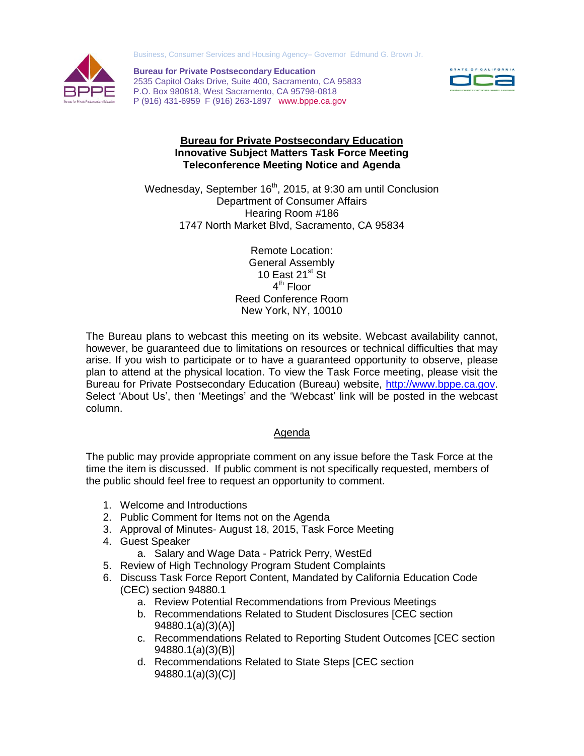Business, Consumer Services and Housing Agency– Governor Edmund G. Brown Jr.



 P (916) 431-6959 F (916) 263-1897 [www.bppe.ca.gov](http://www.bppe.ca.gov/)  **Bureau for Private Postsecondary Education**  2535 Capitol Oaks Drive, Suite 400, Sacramento, CA 95833 P.O. Box 980818, West Sacramento, CA 95798-0818



## **Bureau for Private Postsecondary Education Innovative Subject Matters Task Force Meeting Teleconference Meeting Notice and Agenda**

Wednesday, September 16<sup>th</sup>, 2015, at 9:30 am until Conclusion Department of Consumer Affairs Hearing Room #186 1747 North Market Blvd, Sacramento, CA 95834

> Remote Location: General Assembly 10 East  $21^{st}$  St 4<sup>th</sup> Floor Reed Conference Room New York, NY, 10010

 The Bureau plans to webcast this meeting on its website. Webcast availability cannot, however, be guaranteed due to limitations on resources or technical difficulties that may arise. If you wish to participate or to have a guaranteed opportunity to observe, please plan to attend at the physical location. To view the Task Force meeting, please visit the Bureau for Private Postsecondary Education (Bureau) website, [http://www.bppe.ca.gov.](http://www.bppe.ca.gov/) Select 'About Us', then 'Meetings' and the 'Webcast' link will be posted in the webcast column. column.<br>Agenda

 The public may provide appropriate comment on any issue before the Task Force at the time the item is discussed. If public comment is not specifically requested, members of the public should feel free to request an opportunity to comment.

- 1. Welcome and Introductions
- 2. Public Comment for Items not on the Agenda
- 3. Approval of Minutes- August 18, 2015, Task Force Meeting
- 4. Guest Speaker
	- a. Salary and Wage Data Patrick Perry, WestEd
- 5. Review of High Technology Program Student Complaints
- 6. Discuss Task Force Report Content, Mandated by California Education Code (CEC) section 94880.1
	- a. Review Potential Recommendations from Previous Meetings
	- b. Recommendations Related to Student Disclosures [CEC section 94880.1(a)(3)(A)]
	- c. Recommendations Related to Reporting Student Outcomes [CEC section 94880.1(a)(3)(B)]
	- d. Recommendations Related to State Steps [CEC section 94880.1(a)(3)(C)]